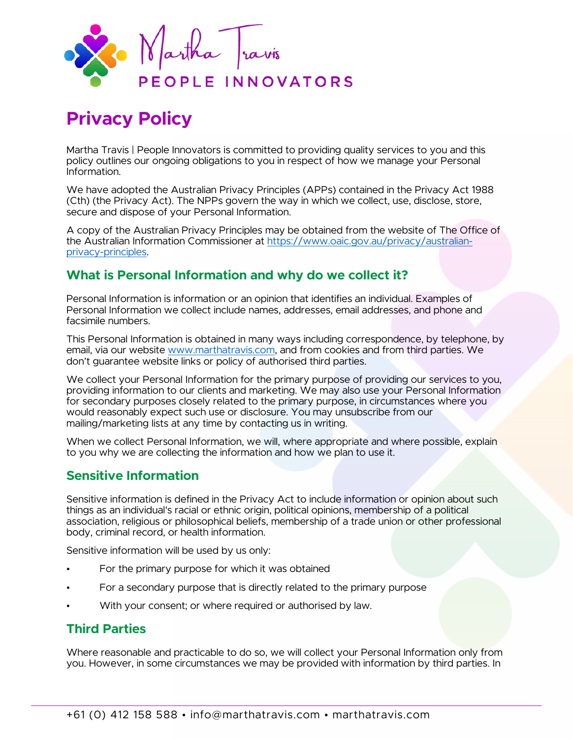

# **Privacy Policy**

Martha Travis | People Innovators is committed to providing quality services to you and this policy outlines our ongoing obligations to you in respect of how we manage your Personal Information.

We have adopted the Australian Privacy Principles (APPs) contained in the Privacy Act 1988 (Cth) (the Privacy Act). The NPPs govern the way in which we collect, use, disclose, store, secure and dispose of your Personal Information.

A copy of the Australian Privacy Principles may be obtained from the website of The Office of the Australian Information Commissioner at [https://www.oaic.gov.au/privacy/australian](https://www.oaic.gov.au/privacy/australian-privacy-principles)[privacy-principles.](https://www.oaic.gov.au/privacy/australian-privacy-principles)

# **What is Personal Information and why do we collect it?**

Personal Information is information or an opinion that identifies an individual. Examples of Personal Information we collect include names, addresses, email addresses, and phone and facsimile numbers.

This Personal Information is obtained in many ways including correspondence, by telephone, by email, via our website [www.marthatravis.com,](http://www.marthatravis.com/) and from cookies and from third parties. We don't guarantee website links or policy of authorised third parties.

We collect your Personal Information for the primary purpose of providing our services to you, providing information to our clients and marketing. We may also use your Personal Information for secondary purposes closely related to the primary purpose, in circumstances where you would reasonably expect such use or disclosure. You may unsubscribe from our mailing/marketing lists at any time by contacting us in writing.

When we collect Personal Information, we will, where appropriate and where possible, explain to you why we are collecting the information and how we plan to use it.

# **Sensitive Information**

Sensitive information is defined in the Privacy Act to include information or opinion about such things as an individual's racial or ethnic origin, political opinions, membership of a political association, religious or philosophical beliefs, membership of a trade union or other professional body, criminal record, or health information.

Sensitive information will be used by us only:

- For the primary purpose for which it was obtained
- For a secondary purpose that is directly related to the primary purpose
- With your consent; or where required or authorised by law.

#### **Third Parties**

Where reasonable and practicable to do so, we will collect your Personal Information only from you. However, in some circumstances we may be provided with information by third parties. In